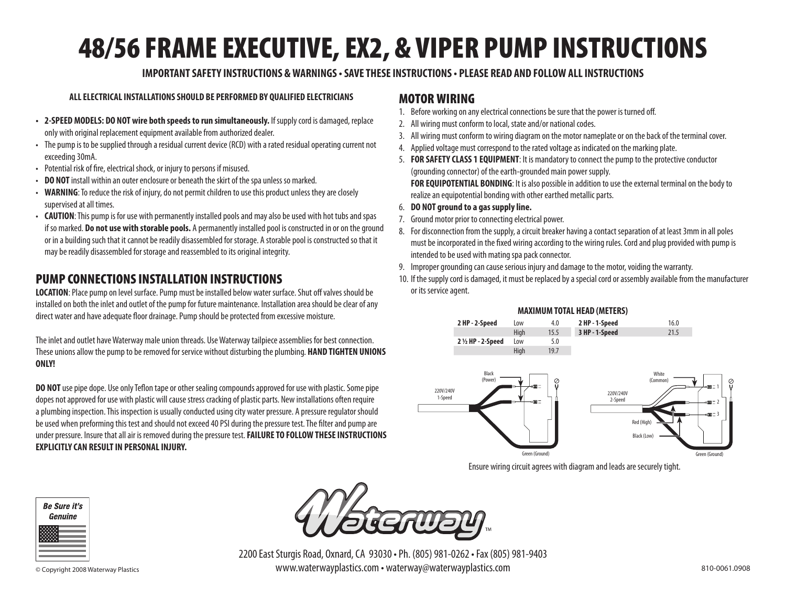# 48/56 FRAME EXECUTIVE, EX2, & VIPER PUMP INSTRUCTIONS

### **IMPORTANT SAFETY INSTRUCTIONS & WARNINGS • SAVE THESE INSTRUCTIONS • PLEASE READ AND FOLLOW ALL INSTRUCTIONS**

#### **ALL ELECTRICAL INSTALLATIONS SHOULD BE PERFORMED BY QUALIFIED ELECTRICIANS**

- **2-SPEED MODELS: DO NOT wire both speeds to run simultaneously.** If supply cord is damaged, replace only with original replacement equipment available from authorized dealer.
- The pump is to be supplied through a residual current device (RCD) with a rated residual operating current not exceeding 30mA.
- Potential risk of fire, electrical shock, or injury to persons if misused.
- **DO NOT** install within an outer enclosure or beneath the skirt of the spa unless so marked.
- **WARNING**: To reduce the risk of injury, do not permit children to use this product unless they are closely supervised at all times.
- **CAUTION**: This pump is for use with permanently installed pools and may also be used with hot tubs and spas if so marked. **Do not use with storable pools.** A permanently installed pool is constructed in or on the ground or in a building such that it cannot be readily disassembled for storage. A storable pool is constructed so that it may be readily disassembled for storage and reassembled to its original integrity.

# PUMP CONNECTIONS INSTALLATION INSTRUCTIONS

**LOCATION**: Place pump on level surface. Pump must be installed below water surface. Shut off valves should be installed on both the inlet and outlet of the pump for future maintenance. Installation area should be clear of any direct water and have adequate floor drainage. Pump should be protected from excessive moisture.

The inlet and outlet have Waterway male union threads. Use Waterway tailpiece assemblies for best connection. These unions allow the pump to be removed for service without disturbing the plumbing. **HAND TIGHTEN UNIONS ONLY!**

**DO NOT** use pipe dope. Use only Teflon tape or other sealing compounds approved for use with plastic. Some pipe dopes not approved for use with plastic will cause stress cracking of plastic parts. New installations often require a plumbing inspection. This inspection is usually conducted using city water pressure. A pressure regulator should be used when preforming this test and should not exceed 40 PSI during the pressure test. The filter and pump are under pressure. Insure that all air is removed during the pressure test. **FAILURE TO FOLLOW THESE INSTRUCTIONS EXPLICITLY CAN RESULT IN PERSONAL INJURY.**

## MOTOR WIRING

- 1. Before working on any electrical connections be sure that the power is turned off.
- 2. All wiring must conform to local, state and/or national codes.
- 3. All wiring must conform to wiring diagram on the motor nameplate or on the back of the terminal cover.
- 4. Applied voltage must correspond to the rated voltage as indicated on the marking plate.
- 5. **FOR SAFETY CLASS 1 EQUIPMENT**: It is mandatory to connect the pump to the protective conductor (grounding connector) of the earth-grounded main power supply. **FOR EQUIPOTENTIAL BONDING**: It is also possible in addition to use the external terminal on the body to realize an equipotential bonding with other earthed metallic parts.
- 6. **DO NOT ground to a gas supply line.**
- 7. Ground motor prior to connecting electrical power.
- 8. For disconnection from the supply, a circuit breaker having a contact separation of at least 3mm in all poles must be incorporated in the fixed wiring according to the wiring rules. Cord and plug provided with pump is intended to be used with mating spa pack connector.
- 9. Improper grounding can cause serious injury and damage to the motor, voiding the warranty.
- 10. If the supply cord is damaged, it must be replaced by a special cord or assembly available from the manufacturer or its service agent.





Ensure wiring circuit agrees with diagram and leads are securely tight.

**White** (Common)

Red (High) Black (Lo





2200 East Sturgis Road, Oxnard, CA 93030 • Ph. (805) 981-0262 • Fax (805) 981-9403 © Copyright 2008 Waterway Plastics www.waterwayplastics.com • waterway@waterwayplastics.com 810-0061.0908

Green (Ground)

1 2 3